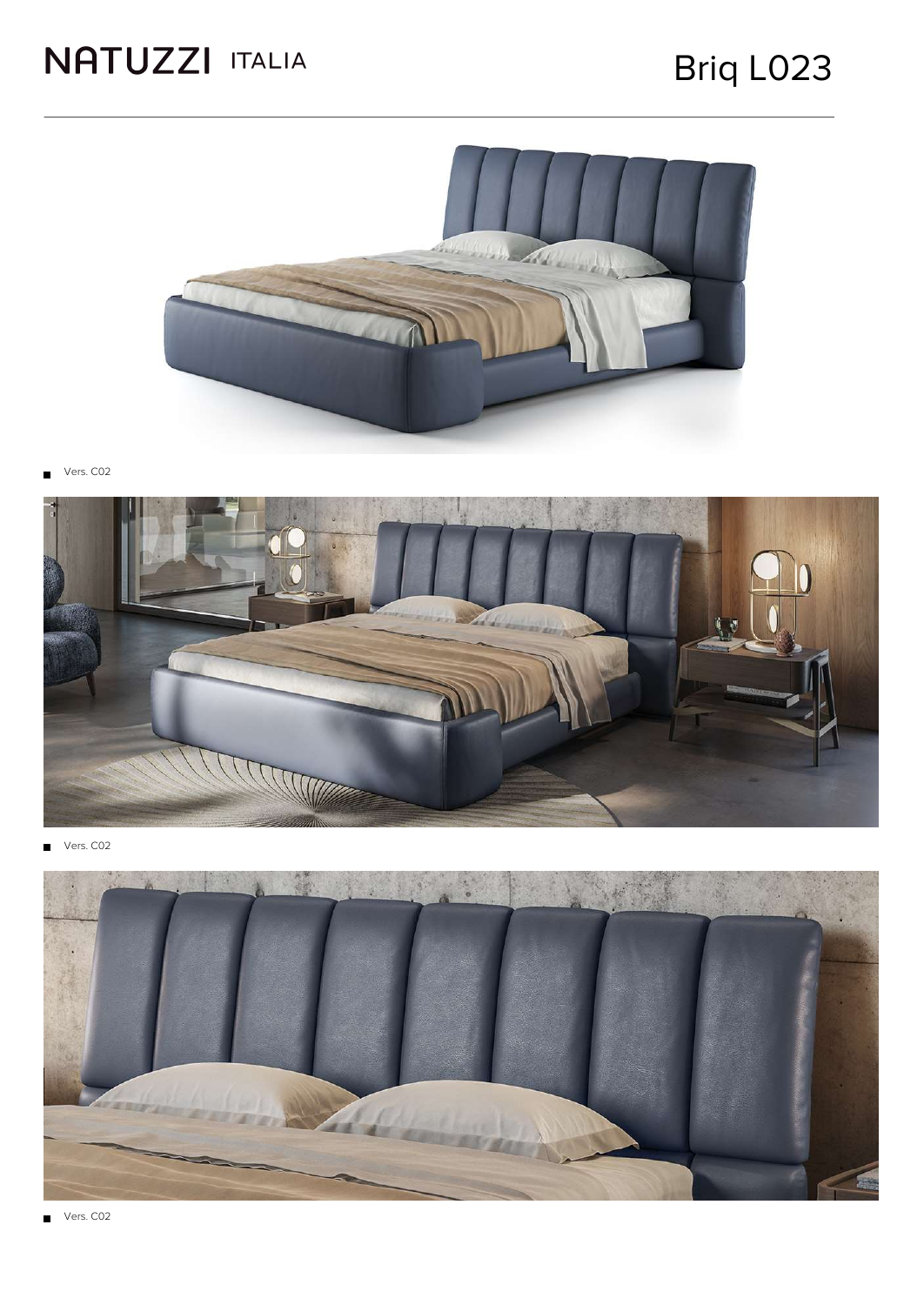### Briq L023



Vers. C02



Vers. C02  $\blacksquare$ 



Vers. C02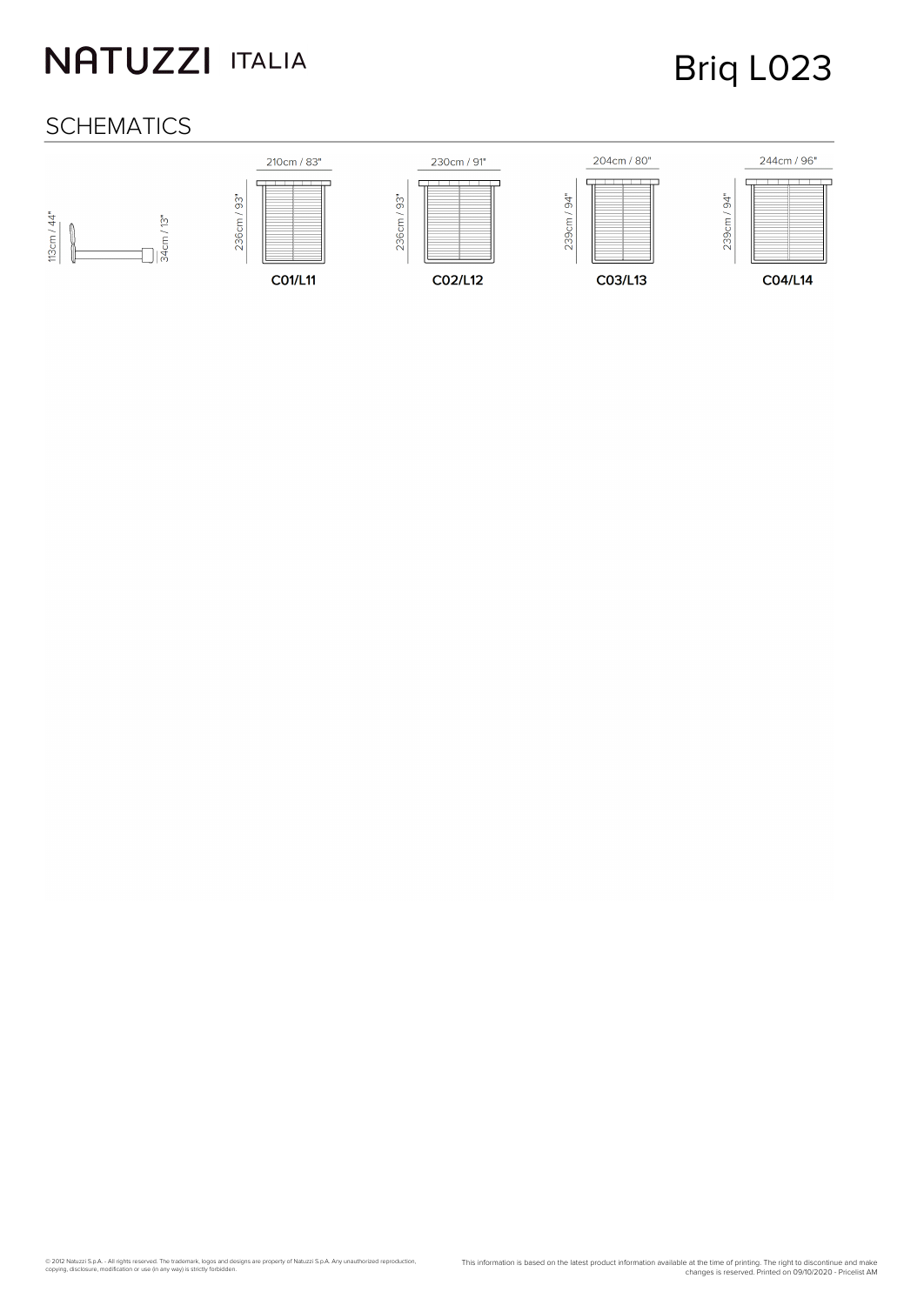## Briq L023

#### **SCHEMATICS**

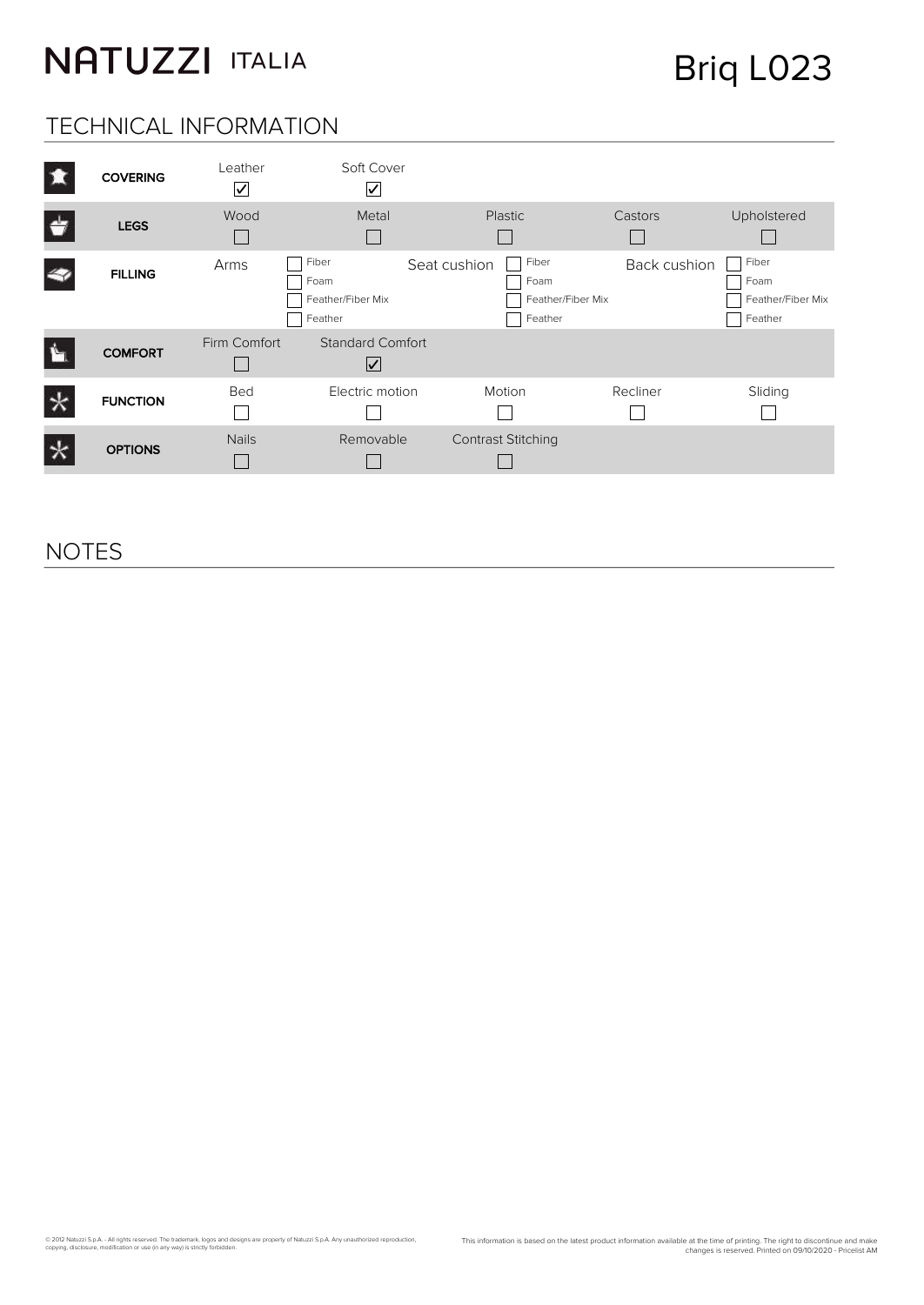Briq L023

#### TECHNICAL INFORMATION

| 頂                  | <b>COVERING</b> | Leather<br>$\overline{\textbf{\textsf{S}}}$ | Soft Cover<br>∨                               |                                                               |              |                                               |
|--------------------|-----------------|---------------------------------------------|-----------------------------------------------|---------------------------------------------------------------|--------------|-----------------------------------------------|
| $\bigtriangledown$ | <b>LEGS</b>     | Wood                                        | Metal                                         | <b>Plastic</b>                                                | Castors      | Upholstered                                   |
| z,                 | <b>FILLING</b>  | Arms                                        | Fiber<br>Foam<br>Feather/Fiber Mix<br>Feather | Fiber<br>Seat cushion<br>Foam<br>Feather/Fiber Mix<br>Feather | Back cushion | Fiber<br>Foam<br>Feather/Fiber Mix<br>Feather |
|                    | <b>COMFORT</b>  | Firm Comfort                                | Standard Comfort<br>⊻                         |                                                               |              |                                               |
|                    | <b>FUNCTION</b> | Bed                                         | Electric motion                               | Motion                                                        | Recliner     | Sliding                                       |
|                    | <b>OPTIONS</b>  | <b>Nails</b>                                | Removable                                     | <b>Contrast Stitching</b>                                     |              |                                               |

#### NOTES